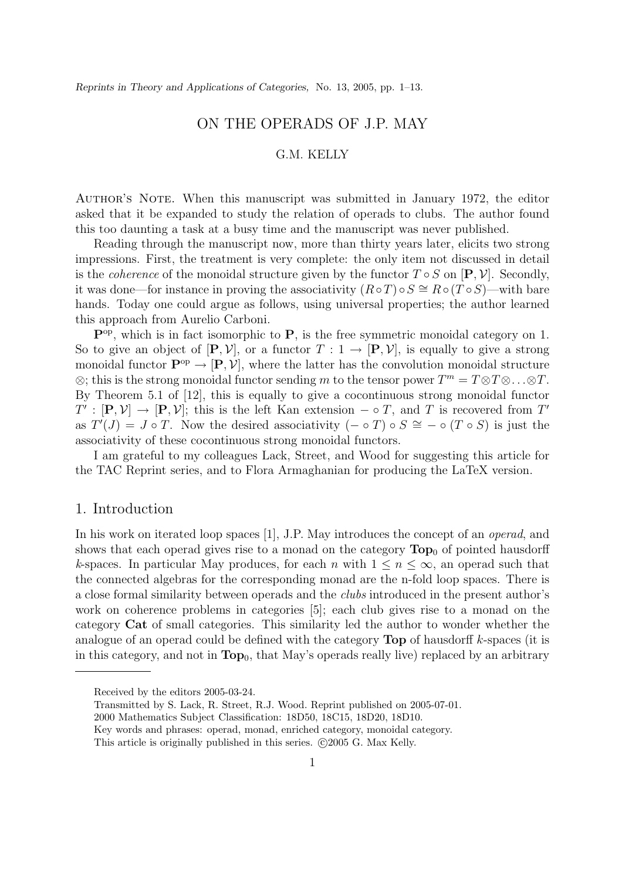## ON THE OPERADS OF J.P. MAY

### G.M. KELLY

AUTHOR'S NOTE. When this manuscript was submitted in January 1972, the editor asked that it be expanded to study the relation of operads to clubs. The author found this too daunting a task at a busy time and the manuscript was never published.

Reading through the manuscript now, more than thirty years later, elicits two strong impressions. First, the treatment is very complete: the only item not discussed in detail is the *coherence* of the monoidal structure given by the functor  $T \circ S$  on  $[\mathbf{P}, \mathcal{V}]$ . Secondly, it was done—for instance in proving the associativity  $(R \circ T) \circ S \cong R \circ (T \circ S)$ —with bare hands. Today one could argue as follows, using universal properties; the author learned this approach from Aurelio Carboni.

**P**op, which is in fact isomorphic to **P**, is the free symmetric monoidal category on 1. So to give an object of  $[\mathbf{P}, \mathcal{V}]$ , or a functor  $T : 1 \to [\mathbf{P}, \mathcal{V}]$ , is equally to give a strong monoidal functor  $\mathbf{P}^{\text{op}} \to [\mathbf{P}, \mathcal{V}]$ , where the latter has the convolution monoidal structure  $\otimes$ ; this is the strong monoidal functor sending m to the tensor power  $T^m = T \otimes T \otimes ... \otimes T$ . By Theorem 5.1 of [12], this is equally to give a cocontinuous strong monoidal functor  $T' : [\mathbf{P}, \mathcal{V}] \to [\mathbf{P}, \mathcal{V}]$ ; this is the left Kan extension  $-\circ T$ , and T is recovered from T' as  $T'(J) = J \circ T$ . Now the desired associativity  $(- \circ T) \circ S \cong - \circ (T \circ S)$  is just the associativity of these cocontinuous strong monoidal functors.

I am grateful to my colleagues Lack, Street, and Wood for suggesting this article for the TAC Reprint series, and to Flora Armaghanian for producing the LaTeX version.

### 1. Introduction

In his work on iterated loop spaces [1], J.P. May introduces the concept of an *operad*, and shows that each operad gives rise to a monad on the category  $\text{Top}_0$  of pointed hausdorff *k*-spaces. In particular May produces, for each n with  $1 \leq n \leq \infty$ , an operad such that the connected algebras for the corresponding monad are the n-fold loop spaces. There is a close formal similarity between operads and the *clubs* introduced in the present author's work on coherence problems in categories [5]; each club gives rise to a monad on the category **Cat** of small categories. This similarity led the author to wonder whether the analogue of an operad could be defined with the category **Top** of hausdorff k-spaces (it is in this category, and not in  $\text{Top}_0$ , that May's operads really live) replaced by an arbitrary

Received by the editors 2005-03-24.

Transmitted by S. Lack, R. Street, R.J. Wood. Reprint published on 2005-07-01.

<sup>2000</sup> Mathematics Subject Classification: 18D50, 18C15, 18D20, 18D10.

Key words and phrases: operad, monad, enriched category, monoidal category.

This article is originally published in this series.  $\odot$ 2005 G. Max Kelly.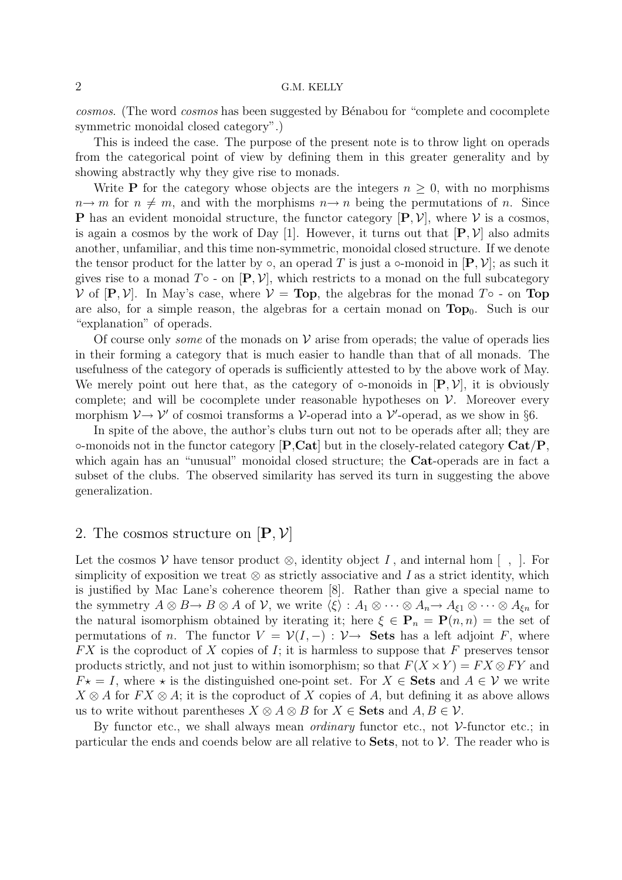*cosmos*. (The word *cosmos* has been suggested by B´enabou for "complete and cocomplete symmetric monoidal closed category".)

This is indeed the case. The purpose of the present note is to throw light on operads from the categorical point of view by defining them in this greater generality and by showing abstractly why they give rise to monads.

Write **P** for the category whose objects are the integers  $n \geq 0$ , with no morphisms  $n \rightarrow m$  for  $n \neq m$ , and with the morphisms  $n \rightarrow n$  being the permutations of n. Since **P** has an evident monoidal structure, the functor category  $[P, V]$ , where V is a cosmos, is again a cosmos by the work of Day [1]. However, it turns out that  $[P, V]$  also admits another, unfamiliar, and this time non-symmetric, monoidal closed structure. If we denote the tensor product for the latter by  $\circ$ , an operad T is just a  $\circ$ -monoid in  $[P, V]$ ; as such it gives rise to a monad  $T \circ -$  on  $[P, V]$ , which restricts to a monad on the full subcategory  $V$  of  $[\mathbf{P}, V]$ . In May's case, where  $V = \textbf{Top}$ , the algebras for the monad  $T \circ \textbf{Top}$ are also, for a simple reason, the algebras for a certain monad on  $\text{Top}_0$ . Such is our "explanation" of operads.

Of course only *some* of the monads on  $V$  arise from operads; the value of operads lies in their forming a category that is much easier to handle than that of all monads. The usefulness of the category of operads is sufficiently attested to by the above work of May. We merely point out here that, as the category of  $\circ$ -monoids in  $[P, V]$ , it is obviously complete; and will be cocomplete under reasonable hypotheses on  $V$ . Moreover every morphism  $V \rightarrow V'$  of cosmoi transforms a V-operad into a V'-operad, as we show in §6.

In spite of the above, the author's clubs turn out not to be operads after all; they are ◦-monoids not in the functor category [**P**,**Cat**] but in the closely-related category **Cat**/**P**, which again has an "unusual" monoidal closed structure; the **Cat**-operads are in fact a subset of the clubs. The observed similarity has served its turn in suggesting the above generalization.

### 2. The cosmos structure on  $|\mathbf{P}, \mathcal{V}|$

Let the cosmos  $\mathcal V$  have tensor product  $\otimes$ , identity object *I*, and internal hom  $\lceil$ ,  $\rceil$ . For simplicity of exposition we treat ⊗ as strictly associative and *I* as a strict identity, which is justified by Mac Lane's coherence theorem [8]. Rather than give a special name to the symmetry  $A \otimes B \to B \otimes A$  of  $\mathcal{V}$ , we write  $\langle \xi \rangle : A_1 \otimes \cdots \otimes A_n \to A_{\xi 1} \otimes \cdots \otimes A_{\xi n}$  for the natural isomorphism obtained by iterating it; here  $\xi \in \mathbf{P}_n = \mathbf{P}(n, n) =$  the set of permutations of n. The functor  $V = \mathcal{V}(I, -): \mathcal{V} \to$  Sets has a left adjoint F, where  $FX$  is the coproduct of X copies of I; it is harmless to suppose that F preserves tensor products strictly, and not just to within isomorphism; so that  $F(X \times Y) = FX \otimes FY$  and  $F\star = I$ , where  $\star$  is the distinguished one-point set. For  $X \in \mathbf{Sets}$  and  $A \in \mathcal{V}$  we write  $X \otimes A$  for  $FX \otimes A$ ; it is the coproduct of X copies of A, but defining it as above allows us to write without parentheses  $X \otimes A \otimes B$  for  $X \in \mathbf{Sets}$  and  $A, B \in \mathcal{V}$ .

By functor etc., we shall always mean *ordinary* functor etc., not V-functor etc.; in particular the ends and coends below are all relative to **Sets**, not to V. The reader who is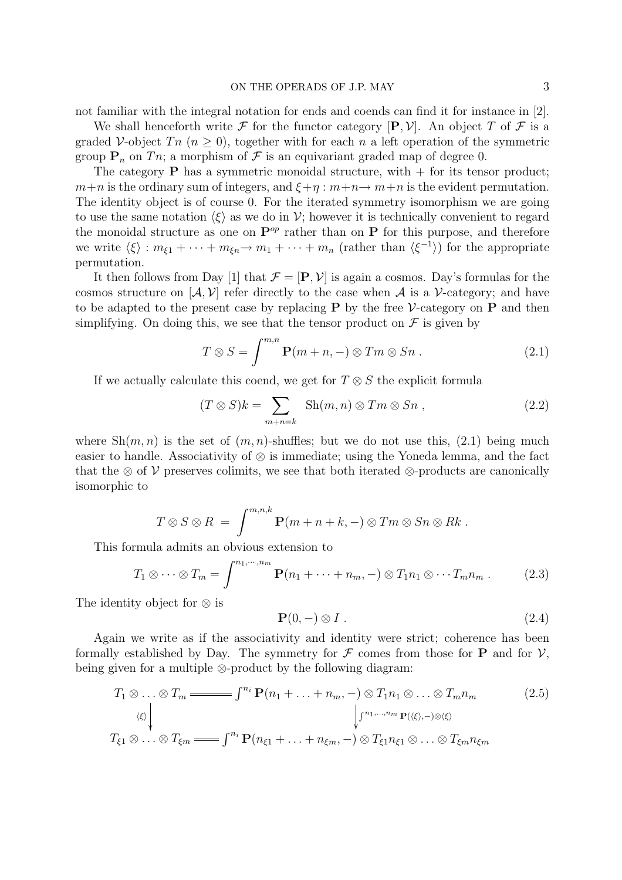not familiar with the integral notation for ends and coends can find it for instance in [2].

We shall henceforth write F for the functor category  $[P, V]$ . An object T of F is a graded V-object  $T_n$  ( $n \geq 0$ ), together with for each n a left operation of the symmetric group  $P_n$  on Tn; a morphism of F is an equivariant graded map of degree 0.

The category **P** has a symmetric monoidal structure, with  $+$  for its tensor product;  $m+n$  is the ordinary sum of integers, and  $\xi+\eta$ :  $m+n\rightarrow m+n$  is the evident permutation. The identity object is of course 0. For the iterated symmetry isomorphism we are going to use the same notation  $\langle \xi \rangle$  as we do in  $\mathcal{V}$ ; however it is technically convenient to regard the monoidal structure as one on  $\mathbf{P}^{op}$  rather than on  $\mathbf{P}$  for this purpose, and therefore we write  $\langle \xi \rangle : m_{\xi_1} + \cdots + m_{\xi_n} \to m_1 + \cdots + m_n$  (rather than  $\langle \xi^{-1} \rangle$ ) for the appropriate permutation.

It then follows from Day [1] that  $\mathcal{F} = [\mathbf{P}, \mathcal{V}]$  is again a cosmos. Day's formulas for the cosmos structure on  $[\mathcal{A}, \mathcal{V}]$  refer directly to the case when  $\mathcal{A}$  is a V-category; and have to be adapted to the present case by replacing **P** by the free  $\mathcal{V}\text{-category}$  on **P** and then simplifying. On doing this, we see that the tensor product on  $\mathcal F$  is given by

$$
T \otimes S = \int^{m,n} \mathbf{P}(m+n,-) \otimes Tm \otimes Sn . \qquad (2.1)
$$

If we actually calculate this coend, we get for  $T \otimes S$  the explicit formula

$$
(T \otimes S)k = \sum_{m+n=k} \operatorname{Sh}(m,n) \otimes Tm \otimes Sn , \qquad (2.2)
$$

where  $\mathrm{Sh}(m,n)$  is the set of  $(m,n)$ -shuffles; but we do not use this, (2.1) being much easier to handle. Associativity of ⊗ is immediate; using the Yoneda lemma, and the fact that the ⊗ of V preserves colimits, we see that both iterated ⊗-products are canonically isomorphic to

$$
T \otimes S \otimes R = \int^{m,n,k} \mathbf{P}(m+n+k,-) \otimes Tm \otimes Sn \otimes Rk.
$$

This formula admits an obvious extension to

$$
T_1 \otimes \cdots \otimes T_m = \int^{n_1, \cdots, n_m} \mathbf{P}(n_1 + \cdots + n_m, -) \otimes T_1 n_1 \otimes \cdots T_m n_m . \qquad (2.3)
$$

The identity object for ⊗ is

$$
\mathbf{P}(0,-) \otimes I \tag{2.4}
$$

Again we write as if the associativity and identity were strict; coherence has been formally established by Day. The symmetry for  $\mathcal F$  comes from those for **P** and for  $\mathcal V$ , being given for a multiple ⊗-product by the following diagram:

$$
T_1 \otimes \ldots \otimes T_m \longrightarrow f^{n_i} \mathbf{P}(n_1 + \ldots + n_m, -) \otimes T_1 n_1 \otimes \ldots \otimes T_m n_m
$$
\n
$$
\downarrow^{(k)} \qquad \qquad \downarrow^{(n_1, \ldots, n_m)} \mathbf{P}(\langle \xi \rangle, -) \otimes \langle \xi \rangle
$$
\n
$$
T_{\xi 1} \otimes \ldots \otimes T_{\xi m} \longrightarrow f^{n_i} \mathbf{P}(n_{\xi 1} + \ldots + n_{\xi m}, -) \otimes T_{\xi 1} n_{\xi 1} \otimes \ldots \otimes T_{\xi m} n_{\xi m}
$$
\n
$$
(2.5)
$$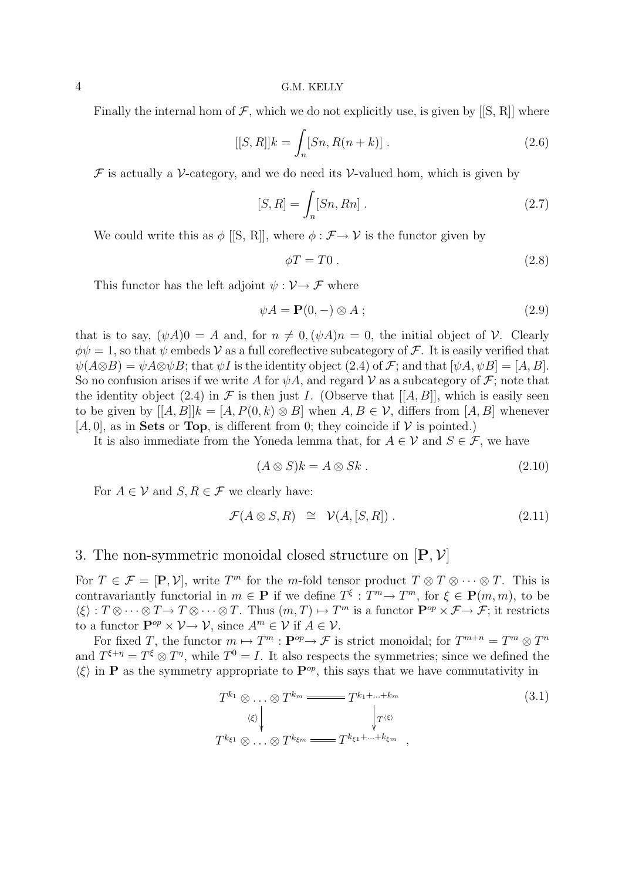Finally the internal hom of  $\mathcal F$ , which we do not explicitly use, is given by [[S, R]] where

$$
[[S,R]]k = \int_{n} [Sn, R(n+k)] .
$$
 (2.6)

 $\mathcal F$  is actually a V-category, and we do need its V-valued hom, which is given by

$$
[S,R] = \int_n [Sn, Rn] . \tag{2.7}
$$

We could write this as  $\phi$  [[S, R]], where  $\phi : \mathcal{F} \to \mathcal{V}$  is the functor given by

$$
\phi T = T0. \tag{2.8}
$$

This functor has the left adjoint  $\psi : \mathcal{V} \to \mathcal{F}$  where

$$
\psi A = \mathbf{P}(0, -) \otimes A ; \tag{2.9}
$$

that is to say,  $(\psi A)0 = A$  and, for  $n \neq 0, (\psi A)n = 0$ , the initial object of V. Clearly  $\phi \psi = 1$ , so that  $\psi$  embeds V as a full coreflective subcategory of F. It is easily verified that  $\psi(A\otimes B) = \psi A\otimes \psi B$ ; that  $\psi I$  is the identity object (2.4) of F; and that  $[\psi A, \psi B] = [A, B]$ . So no confusion arises if we write A for  $\psi A$ , and regard V as a subcategory of F; note that the identity object (2.4) in  $\mathcal F$  is then just I. (Observe that [[A, B]], which is easily seen to be given by  $[[A, B]]k = [A, P(0, k) \otimes B]$  when  $A, B \in V$ , differs from  $[A, B]$  whenever  $[A, 0]$ , as in **Sets** or **Top**, is different from 0; they coincide if  $V$  is pointed.)

It is also immediate from the Yoneda lemma that, for  $A \in \mathcal{V}$  and  $S \in \mathcal{F}$ , we have

$$
(A \otimes S)k = A \otimes Sk. \tag{2.10}
$$

For  $A \in V$  and  $S, R \in \mathcal{F}$  we clearly have:

$$
\mathcal{F}(A \otimes S, R) \cong \mathcal{V}(A, [S, R]) . \tag{2.11}
$$

# 3. The non-symmetric monoidal closed structure on [**P**, V]

For  $T \in \mathcal{F} = [\mathbf{P}, \mathcal{V}]$ , write  $T^m$  for the m-fold tensor product  $T \otimes T \otimes \cdots \otimes T$ . This is contravariantly functorial in  $m \in \mathbf{P}$  if we define  $T^{\xi}: T^m \to T^m$ , for  $\xi \in \mathbf{P}(m, m)$ , to be  $\langle \xi \rangle : T \otimes \cdots \otimes T \to T \otimes \cdots \otimes T$ . Thus  $(m, T) \mapsto T^m$  is a functor  $\mathbf{P}^{op} \times \mathcal{F} \to \mathcal{F}$ ; it restricts to a functor  $\mathbf{P}^{op} \times \mathcal{V} \to \mathcal{V}$ , since  $A^m \in \mathcal{V}$  if  $A \in \mathcal{V}$ .

For fixed T, the functor  $m \mapsto T^m : \mathbf{P}^{op} \to \mathcal{F}$  is strict monoidal; for  $T^{m+n} = T^m \otimes T^n$ and  $T^{\xi+\eta} = T^{\xi} \otimes T^{\eta}$ , while  $T^0 = I$ . It also respects the symmetries; since we defined the  $\langle \xi \rangle$  in **P** as the symmetry appropriate to  $\mathbf{P}^{op}$ , this says that we have commutativity in

$$
T^{k_1} \otimes \ldots \otimes T^{k_m} \xrightarrow{\qquad \qquad} T^{k_1 + \ldots + k_m} \qquad (3.1)
$$
  
\n
$$
\downarrow^{r \langle \xi \rangle} \qquad \qquad \downarrow^{r \langle \xi \rangle}
$$
  
\n
$$
T^{k_{\xi 1}} \otimes \ldots \otimes T^{k_{\xi m}} \xrightarrow{\qquad \qquad} T^{k_{\xi 1} + \ldots + k_{\xi m}},
$$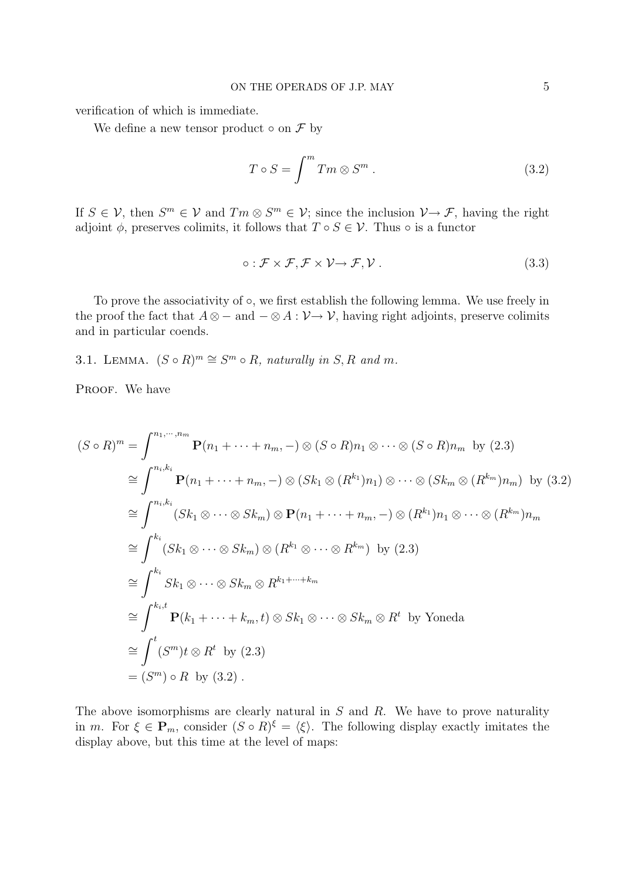verification of which is immediate.

We define a new tensor product  $\circ$  on  $\mathcal F$  by

$$
T \circ S = \int^m Tm \otimes S^m . \qquad (3.2)
$$

If  $S \in \mathcal{V}$ , then  $S^m \in \mathcal{V}$  and  $T_m \otimes S^m \in \mathcal{V}$ ; since the inclusion  $\mathcal{V} \to \mathcal{F}$ , having the right adjoint  $\phi$ , preserves colimits, it follows that  $T \circ S \in \mathcal{V}$ . Thus  $\circ$  is a functor

$$
\circ : \mathcal{F} \times \mathcal{F}, \mathcal{F} \times \mathcal{V} \to \mathcal{F}, \mathcal{V} \,. \tag{3.3}
$$

To prove the associativity of ○, we first establish the following lemma. We use freely in the proof the fact that  $A \otimes -$  and  $-\otimes A : \mathcal{V} \rightarrow \mathcal{V}$ , having right adjoints, preserve colimits and in particular coends.

3.1. LEMMA.  $(S \circ R)^m \cong S^m \circ R$ , naturally in S, R and m.

PROOF. We have

$$
(S \circ R)^m = \int^{n_1, \dots, n_m} \mathbf{P}(n_1 + \dots + n_m, -) \otimes (S \circ R)n_1 \otimes \dots \otimes (S \circ R)n_m \text{ by (2.3)}
$$
  
\n
$$
\cong \int^{n_i, k_i} \mathbf{P}(n_1 + \dots + n_m, -) \otimes (Sk_1 \otimes (R^{k_1})n_1) \otimes \dots \otimes (Sk_m \otimes (R^{k_m})n_m) \text{ by (3.2)}
$$
  
\n
$$
\cong \int^{n_i, k_i} (Sk_1 \otimes \dots \otimes Sk_m) \otimes \mathbf{P}(n_1 + \dots + n_m, -) \otimes (R^{k_1})n_1 \otimes \dots \otimes (R^{k_m})n_m
$$
  
\n
$$
\cong \int^{k_i} (Sk_1 \otimes \dots \otimes Sk_m) \otimes (R^{k_1} \otimes \dots \otimes R^{k_m}) \text{ by (2.3)}
$$
  
\n
$$
\cong \int^{k_i} Sk_1 \otimes \dots \otimes Sk_m \otimes R^{k_1 + \dots + k_m}
$$
  
\n
$$
\cong \int^{k_i, t} \mathbf{P}(k_1 + \dots + k_m, t) \otimes Sk_1 \otimes \dots \otimes Sk_m \otimes R^t \text{ by Yoneda}
$$
  
\n
$$
\cong \int^{t} (S^m)t \otimes R^t \text{ by (2.3)}
$$
  
\n
$$
= (S^m) \circ R \text{ by (3.2)}.
$$

The above isomorphisms are clearly natural in  $S$  and  $R$ . We have to prove naturality in m. For  $\xi \in \mathbf{P}_m$ , consider  $(S \circ R)^{\xi} = \langle \xi \rangle$ . The following display exactly imitates the display above, but this time at the level of maps: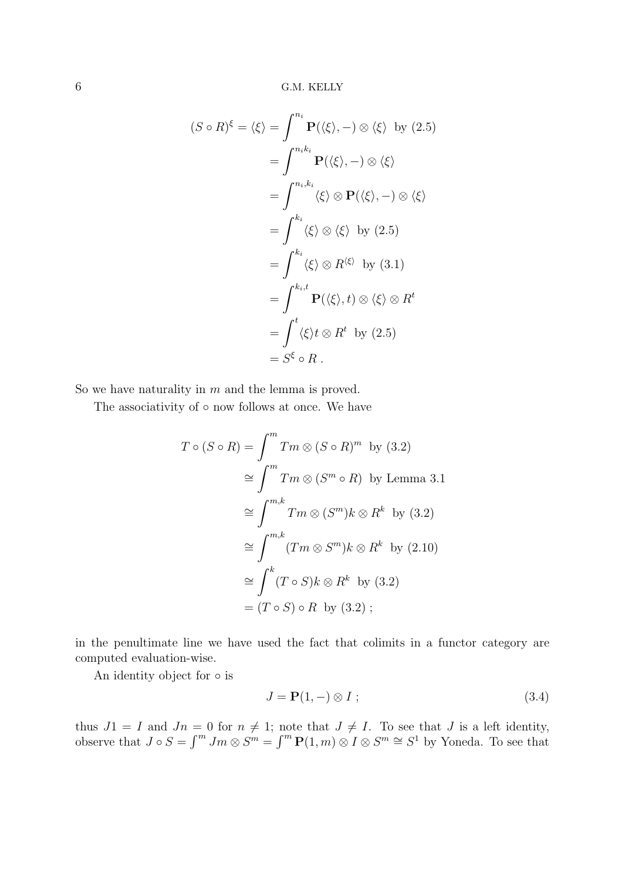$$
(S \circ R)^{\xi} = \langle \xi \rangle = \int^{n_i} \mathbf{P}(\langle \xi \rangle, -) \otimes \langle \xi \rangle \text{ by (2.5)}
$$
  
= 
$$
\int^{n_i k_i} \mathbf{P}(\langle \xi \rangle, -) \otimes \langle \xi \rangle
$$
  
= 
$$
\int^{k_i} \langle \xi \rangle \otimes \mathbf{P}(\langle \xi \rangle, -) \otimes \langle \xi \rangle
$$
  
= 
$$
\int^{k_i} \langle \xi \rangle \otimes \langle \xi \rangle \text{ by (2.5)}
$$
  
= 
$$
\int^{k_i} \langle \xi \rangle \otimes R^{\langle \xi \rangle} \text{ by (3.1)}
$$
  
= 
$$
\int^{k_i, t} \mathbf{P}(\langle \xi \rangle, t) \otimes \langle \xi \rangle \otimes R^t
$$
  
= 
$$
\int^{t} \langle \xi \rangle t \otimes R^t \text{ by (2.5)}
$$
  
= 
$$
S^{\xi} \circ R.
$$

So we have naturality in  $m$  and the lemma is proved.

The associativity of  $\circ$  now follows at once. We have

$$
T \circ (S \circ R) = \int^m Tm \otimes (S \circ R)^m \text{ by (3.2)}
$$
  
\n
$$
\cong \int^m Tm \otimes (S^m \circ R) \text{ by Lemma 3.1}
$$
  
\n
$$
\cong \int^{m,k} Tm \otimes (S^m)k \otimes R^k \text{ by (3.2)}
$$
  
\n
$$
\cong \int^{m,k} (Tm \otimes S^m)k \otimes R^k \text{ by (2.10)}
$$
  
\n
$$
\cong \int^k (T \circ S)k \otimes R^k \text{ by (3.2)}
$$
  
\n
$$
= (T \circ S) \circ R \text{ by (3.2)};
$$

in the penultimate line we have used the fact that colimits in a functor category are computed evaluation-wise.

An identity object for  $\circ$  is

$$
J = \mathbf{P}(1, -) \otimes I \tag{3.4}
$$

thus  $J1 = I$  and  $Jn = 0$  for  $n \neq 1$ ; note that  $J \neq I$ . To see that J is a left identity, observe that  $J \circ S = \int^m Jm \otimes S^m = \int^m \mathbf{P}(1,m) \otimes I \otimes S^m \cong S^1$  by Yoneda. To see that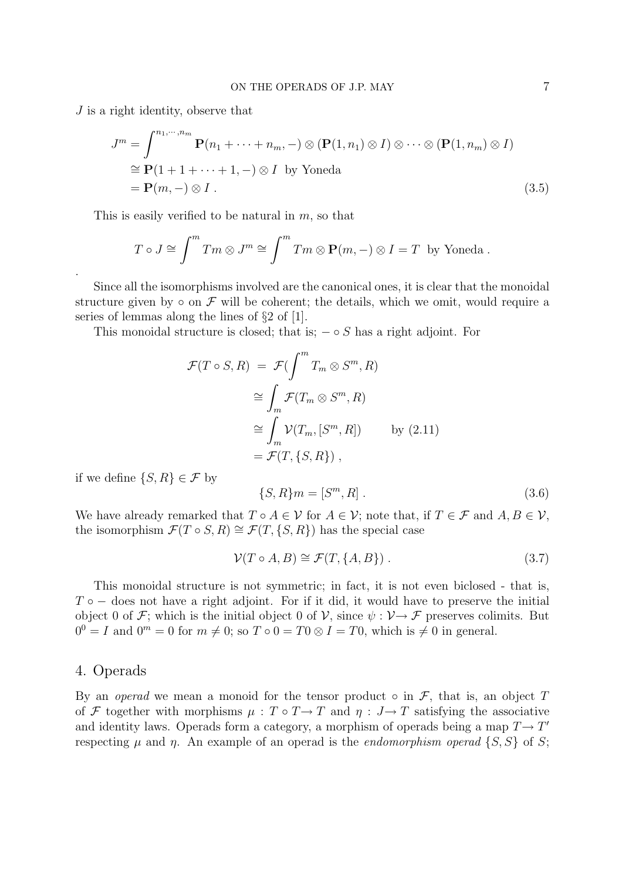J is a right identity, observe that

$$
J^{m} = \int_{0}^{n_{1}, \dots, n_{m}} \mathbf{P}(n_{1} + \dots + n_{m}, -) \otimes (\mathbf{P}(1, n_{1}) \otimes I) \otimes \dots \otimes (\mathbf{P}(1, n_{m}) \otimes I)
$$
  
\n
$$
\cong \mathbf{P}(1 + 1 + \dots + 1, -) \otimes I \text{ by Yoneda}
$$
  
\n
$$
= \mathbf{P}(m, -) \otimes I .
$$
 (3.5)

This is easily verified to be natural in  $m$ , so that

$$
T \circ J \cong \int^m Tm \otimes J^m \cong \int^m Tm \otimes \mathbf{P}(m, -) \otimes I = T
$$
 by Yoneda.

Since all the isomorphisms involved are the canonical ones, it is clear that the monoidal structure given by  $\circ$  on  $\mathcal F$  will be coherent; the details, which we omit, would require a series of lemmas along the lines of §2 of [1].

This monoidal structure is closed; that is;  $-\circ S$  has a right adjoint. For

$$
\mathcal{F}(T \circ S, R) = \mathcal{F}(\int^m T_m \otimes S^m, R)
$$
  
\n
$$
\cong \int_m \mathcal{F}(T_m \otimes S^m, R)
$$
  
\n
$$
\cong \int_m \mathcal{V}(T_m, [S^m, R]) \qquad \text{by (2.11)}
$$
  
\n
$$
= \mathcal{F}(T, \{S, R\}),
$$

if we define  $\{S, R\} \in \mathcal{F}$  by

.

$$
\{S, R\}m = [S^m, R] \ . \tag{3.6}
$$

We have already remarked that  $T \circ A \in \mathcal{V}$  for  $A \in \mathcal{V}$ ; note that, if  $T \in \mathcal{F}$  and  $A, B \in \mathcal{V}$ , the isomorphism  $\mathcal{F}(T \circ S, R) \cong \mathcal{F}(T, \{S, R\})$  has the special case

$$
\mathcal{V}(T \circ A, B) \cong \mathcal{F}(T, \{A, B\}) \tag{3.7}
$$

This monoidal structure is not symmetric; in fact, it is not even biclosed - that is,  $T \circ -$  does not have a right adjoint. For if it did, it would have to preserve the initial object 0 of F; which is the initial object 0 of V, since  $\psi : V \to \mathcal{F}$  preserves colimits. But  $0^0 = I$  and  $0^m = 0$  for  $m \neq 0$ ; so  $T \circ 0 = T0 \otimes I = T0$ , which is  $\neq 0$  in general.

### 4. Operads

By an *operad* we mean a monoid for the tensor product  $\circ$  in  $\mathcal{F}$ , that is, an object T of F together with morphisms  $\mu : T \circ T \to T$  and  $\eta : J \to T$  satisfying the associative and identity laws. Operads form a category, a morphism of operads being a map  $T \rightarrow T'$ respecting  $\mu$  and  $\eta$ . An example of an operad is the *endomorphism operad* {S, S} of S;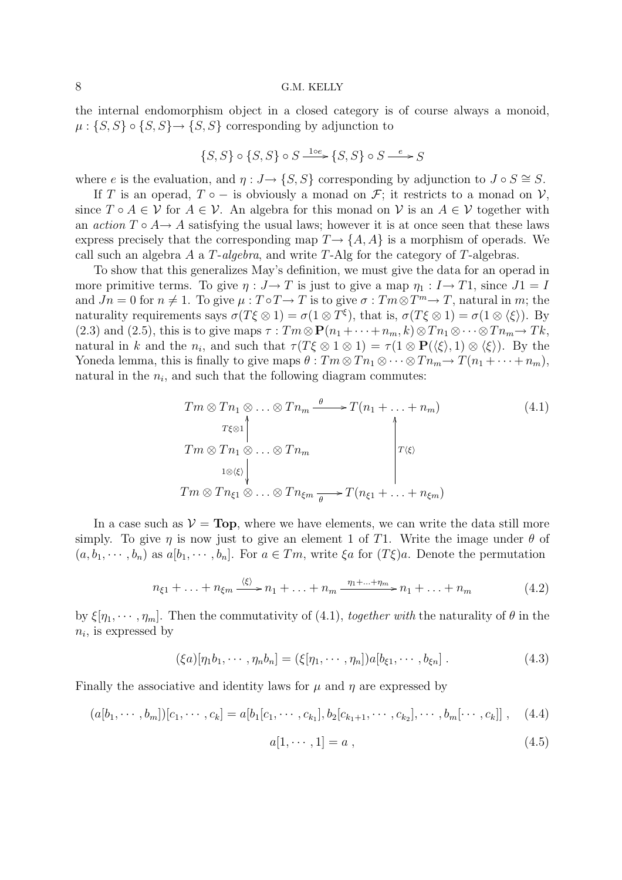the internal endomorphism object in a closed category is of course always a monoid,  $\mu: \{S, S\} \circ \{S, S\} \rightarrow \{S, S\}$  corresponding by adjunction to

$$
\{S,S\}\circ\{S,S\}\circ S\xrightarrow{1\circ e}\{S,S\}\circ S\xrightarrow{e}S
$$

where e is the evaluation, and  $\eta: J \to \{S, S\}$  corresponding by adjunction to  $J \circ S \cong S$ .

If T is an operad,  $T \circ -$  is obviously a monad on  $\mathcal{F}$ ; it restricts to a monad on  $\mathcal{V}$ , since  $T \circ A \in V$  for  $A \in V$ . An algebra for this monad on V is an  $A \in V$  together with an *action*  $T \circ A \to A$  satisfying the usual laws; however it is at once seen that these laws express precisely that the corresponding map  $T \rightarrow \{A, A\}$  is a morphism of operads. We call such an algebra A a T-*algebra*, and write T-Alg for the category of T-algebras.

To show that this generalizes May's definition, we must give the data for an operad in more primitive terms. To give  $\eta : J \to T$  is just to give a map  $\eta_1 : I \to T1$ , since  $J1 = I$ and  $Jn = 0$  for  $n \neq 1$ . To give  $\mu : T \circ T \to T$  is to give  $\sigma : Tm \otimes T^m \to T$ , natural in m; the naturality requirements says  $\sigma(T\xi \otimes 1) = \sigma(1 \otimes T^{\xi})$ , that is,  $\sigma(T\xi \otimes 1) = \sigma(1 \otimes \langle \xi \rangle)$ . By (2.3) and (2.5), this is to give maps  $\tau : Tm \otimes \mathbf{P}(n_1 + \cdots + n_m, k) \otimes Tn_1 \otimes \cdots \otimes Tn_m \rightarrow Tk$ , natural in k and the  $n_i$ , and such that  $\tau(T\xi \otimes 1 \otimes 1) = \tau(1 \otimes \mathbf{P}(\langle \xi \rangle, 1) \otimes \langle \xi \rangle)$ . By the Yoneda lemma, this is finally to give maps  $\theta : Tm \otimes Tn_1 \otimes \cdots \otimes Tn_m \rightarrow T(n_1 + \cdots + n_m)$ , natural in the  $n_i$ , and such that the following diagram commutes:

$$
Tm \otimes Tn_1 \otimes \ldots \otimes Tn_m \xrightarrow{\theta} T(n_1 + \ldots + n_m)
$$
\n
$$
T \otimes 1
$$
\n
$$
Tm \otimes Tn_1 \otimes \ldots \otimes Tn_m
$$
\n
$$
1 \otimes \langle \xi \rangle
$$
\n
$$
Tm \otimes Tn_{\xi 1} \otimes \ldots \otimes Tn_{\xi m} \xrightarrow{\theta} T(n_{\xi 1} + \ldots + n_{\xi m})
$$
\n
$$
(4.1)
$$

In a case such as  $V = Top$ , where we have elements, we can write the data still more simply. To give  $\eta$  is now just to give an element 1 of T1. Write the image under  $\theta$  of  $(a, b_1, \dots, b_n)$  as  $a[b_1, \dots, b_n]$ . For  $a \in Tm$ , write  $\xi a$  for  $(T\xi)a$ . Denote the permutation

$$
n_{\xi 1} + \ldots + n_{\xi m} \xrightarrow{\langle \xi \rangle} n_1 + \ldots + n_m \xrightarrow{\eta_1 + \ldots + \eta_m} n_1 + \ldots + n_m \tag{4.2}
$$

by  $\xi[\eta_1, \cdots, \eta_m]$ . Then the commutativity of (4.1), *together with* the naturality of  $\theta$  in the  $n_i$ , is expressed by

$$
(\xi a)[\eta_1 b_1, \cdots, \eta_n b_n] = (\xi[\eta_1, \cdots, \eta_n])a[b_{\xi 1}, \cdots, b_{\xi n}].
$$
\n(4.3)

Finally the associative and identity laws for  $\mu$  and  $\eta$  are expressed by

$$
(a[b_1, \cdots, b_m])[c_1, \cdots, c_k] = a[b_1[c_1, \cdots, c_{k_1}], b_2[c_{k_1+1}, \cdots, c_{k_2}], \cdots, b_m[\cdots, c_k]] , \quad (4.4)
$$

$$
a[1, \cdots, 1] = a \tag{4.5}
$$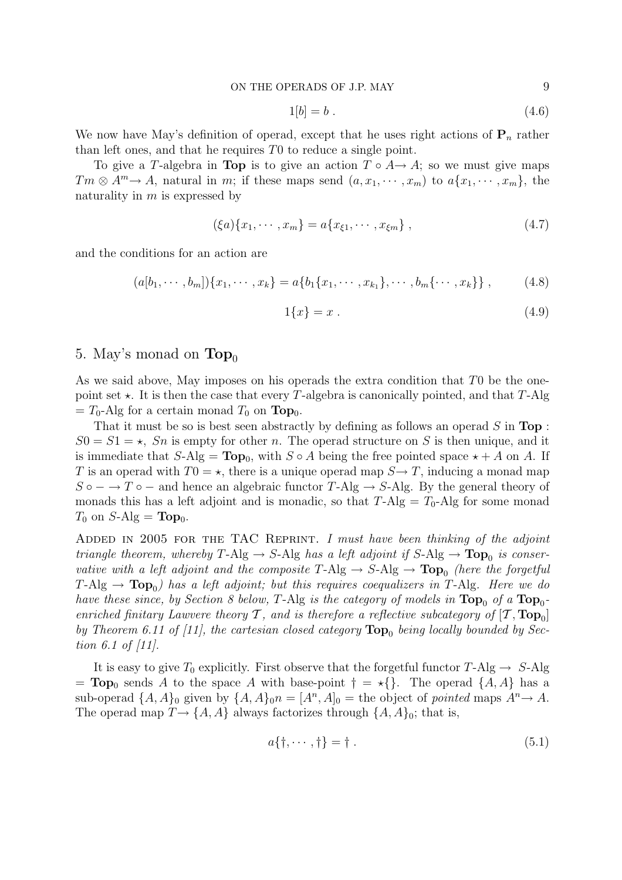$$
1[b] = b \tag{4.6}
$$

We now have May's definition of operad, except that he uses right actions of  $\mathbf{P}_n$  rather than left ones, and that he requires T0 to reduce a single point.

To give a T-algebra in **Top** is to give an action  $T \circ A \rightarrow A$ ; so we must give maps  $Tm \otimes A^m \rightarrow A$ , natural in m; if these maps send  $(a, x_1, \dots, x_m)$  to  $a\{x_1, \dots, x_m\}$ , the naturality in  $m$  is expressed by

$$
(\xi a)\{x_1, \cdots, x_m\} = a\{x_{\xi 1}, \cdots, x_{\xi m}\},\qquad(4.7)
$$

and the conditions for an action are

$$
(a[b_1, \cdots, b_m])\{x_1, \cdots, x_k\} = a\{b_1\{x_1, \cdots, x_{k_1}\}, \cdots, b_m\{\cdots, x_k\}\},
$$
 (4.8)

$$
1\{x\} = x \tag{4.9}
$$

### 5. May's monad on  $\text{Top}_0$

As we said above, May imposes on his operads the extra condition that T0 be the onepoint set  $\star$ . It is then the case that every T-algebra is canonically pointed, and that T-Alg  $=T_0$ -Alg for a certain monad  $T_0$  on **Top**<sub>0</sub>.

That it must be so is best seen abstractly by defining as follows an operad S in **Top** :  $S0 = S1 = \star$ , Sn is empty for other n. The operad structure on S is then unique, and it is immediate that  $S\text{-Alg} = \text{Top}_0$ , with  $S \circ A$  being the free pointed space  $\star + A$  on A. If T is an operad with  $T0 = \star$ , there is a unique operad map  $S \rightarrow T$ , inducing a monad map  $S \circ$  − → T  $\circ$  − and hence an algebraic functor T-Alg  $\to$  S-Alg. By the general theory of monads this has a left adjoint and is monadic, so that  $T-Alg = T_0-Alg$  for some monad  $T_0$  on  $S$ -Alg = **Top**<sub>0</sub>.

Added in 2005 for the TAC Reprint. *I must have been thinking of the adjoint triangle theorem, whereby*  $T$ -Alg  $\rightarrow$  S-Alg *has a left adjoint if*  $S$ -Alg  $\rightarrow$  **Top**<sub>0</sub> *is conservative with a left adjoint and the composite*  $T-Alg \rightarrow S-Alg \rightarrow Top_0$  *(here the forgetful*  $T-Alg \rightarrow Top_0$ ) has a left adjoint; but this requires coequalizers in T-Alg. Here we do *have these since, by Section 8 below,* T-Alg *is the category of models in*  $\text{Top}_0$  *of a*  $\text{Top}_0$ *enriched finitary Lawvere theory*  $\mathcal{T}$ *, and is therefore a reflective subcategory of*  $[\mathcal{T}, Top_0]$ *by Theorem 6.11 of [11], the cartesian closed category*  $\text{Top}_0$  *being locally bounded by Section 6.1 of [11].*

It is easy to give  $T_0$  explicitly. First observe that the forgetful functor  $T\text{-}Alg \to S\text{-}Alg$  $= \text{Top}_0$  sends A to the space A with base-point  $\dagger = \star \{\}.$  The operad  $\{A, A\}$  has a sub-operad  $\{A, A\}_0$  given by  $\{A, A\}_0$ <sup>n</sup> =  $[A^n, A]_0$  = the object of *pointed* maps  $A^n \rightarrow A$ . The operad map  $T \rightarrow \{A, A\}$  always factorizes through  $\{A, A\}_0$ ; that is,

$$
a{\dagger, \cdots, \dagger} = \dagger. \tag{5.1}
$$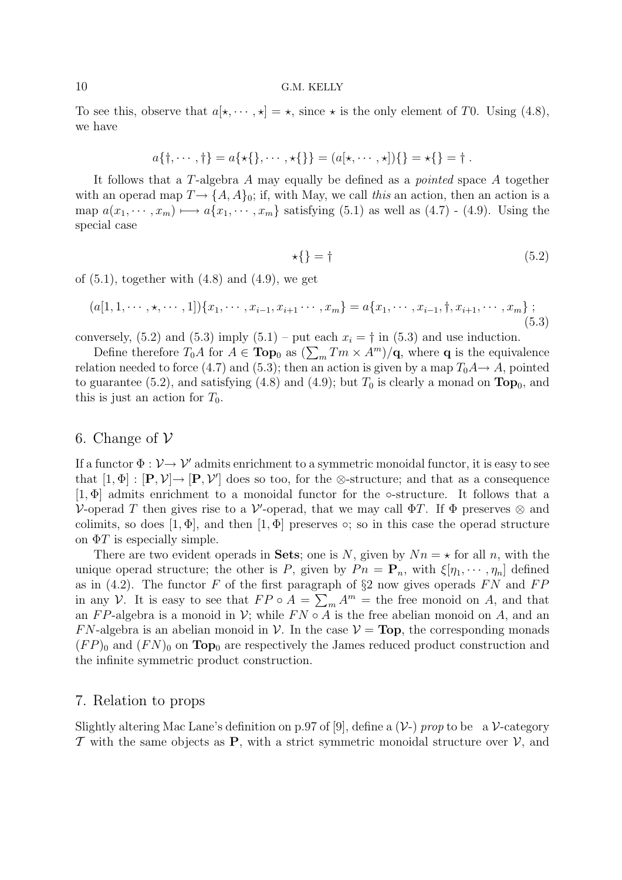To see this, observe that  $a[\star, \cdots, \star] = \star$ , since  $\star$  is the only element of T0. Using (4.8), we have

$$
a\{\dagger, \cdots, \dagger\} = a\{\star\{\}, \cdots, \star\{\}\} = (a[\star, \cdots, \star])\{\} = \star\{\} = \dagger.
$$

It follows that a T-algebra A may equally be defined as a *pointed* space A together with an operad map  $T \rightarrow \{A, A\}_0$ ; if, with May, we call *this* an action, then an action is a map  $a(x_1, \dots, x_m) \longmapsto a\{x_1, \dots, x_m\}$  satisfying (5.1) as well as (4.7) - (4.9). Using the special case

$$
\star\{\} = \dagger\tag{5.2}
$$

of  $(5.1)$ , together with  $(4.8)$  and  $(4.9)$ , we get

$$
(a[1,1,\dots,\star,\dots,1])\{x_1,\dots,x_{i-1},x_{i+1}\dots,x_m\} = a\{x_1,\dots,x_{i-1},\dagger,x_{i+1},\dots,x_m\};
$$
\n(5.3)

conversely, (5.2) and (5.3) imply (5.1) – put each  $x_i = \dagger$  in (5.3) and use induction.

Define therefore  $T_0A$  for  $A \in \textbf{Top}_0$  as  $(\sum_m T_m \times A^m)/q$ , where q is the equivalence relation needed to force (4.7) and (5.3); then an action is given by a map  $T_0A \rightarrow A$ , pointed to guarantee (5.2), and satisfying (4.8) and (4.9); but  $T_0$  is clearly a monad on  $\text{Top}_0$ , and this is just an action for  $T_0$ .

### 6. Change of  $\mathcal V$

If a functor  $\Phi : \mathcal{V} \to \mathcal{V}'$  admits enrichment to a symmetric monoidal functor, it is easy to see that  $[1, \Phi] : [\mathbf{P}, \mathcal{V}] \to [\mathbf{P}, \mathcal{V}']$  does so too, for the ⊗-structure; and that as a consequence  $[1, \Phi]$  admits enrichment to a monoidal functor for the  $\circ$ -structure. It follows that a V-operad T then gives rise to a V'-operad, that we may call  $\Phi T$ . If  $\Phi$  preserves  $\otimes$  and colimits, so does  $[1, \Phi]$ , and then  $[1, \Phi]$  preserves  $\circ$ ; so in this case the operad structure on  $\Phi T$  is especially simple.

There are two evident operads in **Sets**; one is N, given by  $Nn = \star$  for all n, with the unique operad structure; the other is P, given by  $P_n = \mathbf{P}_n$ , with  $\xi[\eta_1, \dots, \eta_n]$  defined as in (4.2). The functor F of the first paragraph of  $\S2$  now gives operads FN and FP in any V. It is easy to see that  $FP \circ A = \sum_m A^m$  = the free monoid on A, and that an FP-algebra is a monoid in V; while  $FN \circ A$  is the free abelian monoid on A, and an FN-algebra is an abelian monoid in V. In the case  $V = Top$ , the corresponding monads  $(FP)_0$  and  $(FN)_0$  on **Top**<sub>0</sub> are respectively the James reduced product construction and the infinite symmetric product construction.

### 7. Relation to props

Slightly altering Mac Lane's definition on p.97 of [9], define a  $(\mathcal{V})$  *prop* to be a  $\mathcal{V}$ -category T with the same objects as **P**, with a strict symmetric monoidal structure over  $V$ , and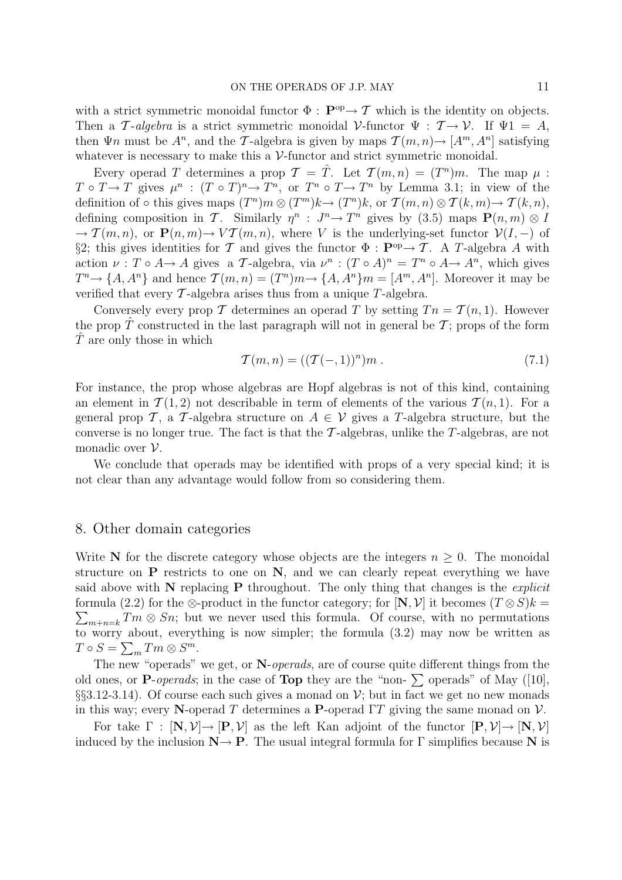with a strict symmetric monoidal functor  $\Phi : \mathbf{P}^{\mathrm{op}} \to \mathcal{T}$  which is the identity on objects. Then a T-*algebra* is a strict symmetric monoidal V-functor  $\Psi : \mathcal{T} \to \mathcal{V}$ . If  $\Psi 1 = A$ , then  $\Psi n$  must be  $A^n$ , and the T-algebra is given by maps  $\mathcal{T}(m, n) \rightarrow [A^m, A^n]$  satisfying whatever is necessary to make this a  $V$ -functor and strict symmetric monoidal.

Every operad T determines a prop  $\mathcal{T} = \hat{T}$ . Let  $\mathcal{T}(m,n)=(T^n)m$ . The map  $\mu$ :  $T \circ T \to T$  gives  $\mu^n$ :  $(T \circ T)^n \to T^n$ , or  $T^n \circ T \to T^n$  by Lemma 3.1; in view of the definition of ◦ this gives maps  $(T^n)m\otimes (T^m)k\to (T^n)k$ , or  $\mathcal{T}(m,n)\otimes \mathcal{T}(k,m)\to \mathcal{T}(k,n)$ , defining composition in T. Similarly  $\eta^n$  :  $J^n \to T^n$  gives by (3.5) maps  $\mathbf{P}(n,m) \otimes I$  $\rightarrow \mathcal{T}(m,n)$ , or  $\mathbf{P}(n,m) \rightarrow V\mathcal{T}(m,n)$ , where V is the underlying-set functor  $\mathcal{V}(I,-)$  of §2; this gives identities for T and gives the functor  $\Phi : \mathbf{P}^{\text{op}} \to T$ . A T-algebra A with action  $\nu : T \circ A \to A$  gives a T-algebra, via  $\nu^n : (T \circ A)^n = T^n \circ A \to A^n$ , which gives  $T^n \to \{A, A^n\}$  and hence  $\mathcal{T}(m, n)=(T^n)m \to \{A, A^n\}m=[A^m, A^n]$ . Moreover it may be verified that every  $\mathcal T$ -algebra arises thus from a unique  $T$ -algebra.

Conversely every prop T determines an operad T by setting  $T_n = T(n, 1)$ . However the prop  $\hat{T}$  constructed in the last paragraph will not in general be  $\hat{T}$ ; props of the form  $\hat{T}$  are only those in which

$$
\mathcal{T}(m,n) = ((\mathcal{T}(-,1))^n)m . \tag{7.1}
$$

For instance, the prop whose algebras are Hopf algebras is not of this kind, containing an element in  $\mathcal{T}(1,2)$  not describable in term of elements of the various  $\mathcal{T}(n,1)$ . For a general prop T, a T-algebra structure on  $A \in V$  gives a T-algebra structure, but the converse is no longer true. The fact is that the  $\mathcal{T}\text{-algebras}$ , unlike the T-algebras, are not monadic over  $\mathcal V$ .

We conclude that operads may be identified with props of a very special kind; it is not clear than any advantage would follow from so considering them.

### 8. Other domain categories

Write **N** for the discrete category whose objects are the integers  $n \geq 0$ . The monoidal structure on **P** restricts to one on **N**, and we can clearly repeat everything we have said above with **N** replacing **P** throughout. The only thing that changes is the *explicit* formula (2.2) for the  $\otimes$ -product in the functor category; for  $[N, V]$  it becomes  $(T \otimes S)k =$  $\sum_{m+n=k} T_m \otimes Sn$ ; but we never used this formula. Of course, with no permutations to worry about, everything is now simpler; the formula (3.2) may now be written as  $T \circ S = \sum_m Tm \otimes S^m$ .

The new "operads" we get, or **N**-*operads*, are of course quite different things from the old ones, or **P**-*operads*; in the case of **Top** they are the "non-  $\sum$  operads" of May ([10], §§3.12-3.14). Of course each such gives a monad on  $\mathcal{V}$ ; but in fact we get no new monads in this way; every **N**-operad T determines a **P**-operad  $\Gamma T$  giving the same monad on  $V$ .

For take  $\Gamma$  :  $[\mathbf{N}, \mathcal{V}] \rightarrow [\mathbf{P}, \mathcal{V}]$  as the left Kan adjoint of the functor  $[\mathbf{P}, \mathcal{V}] \rightarrow [\mathbf{N}, \mathcal{V}]$ induced by the inclusion  $N \rightarrow P$ . The usual integral formula for  $\Gamma$  simplifies because N is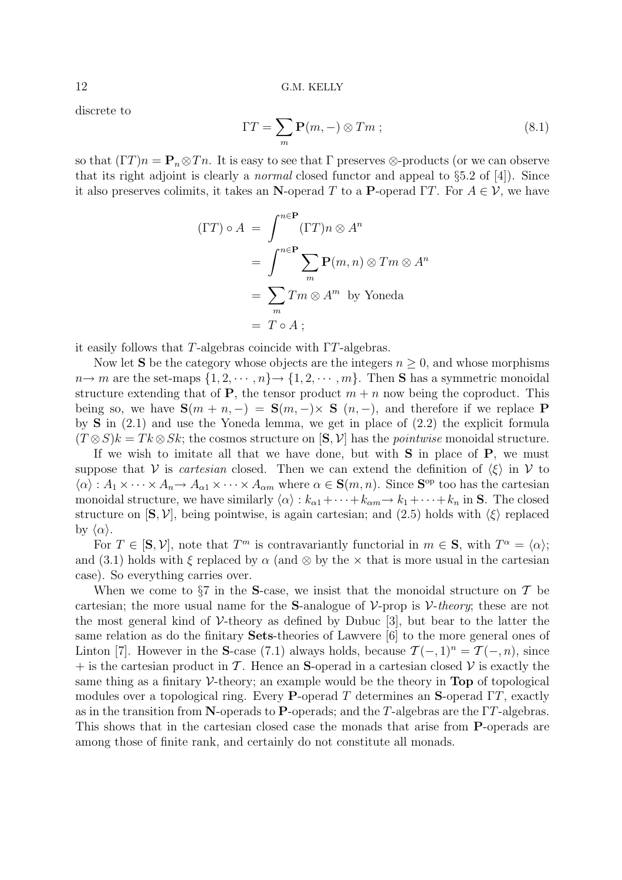discrete to

$$
\Gamma T = \sum_{m} \mathbf{P}(m, -) \otimes Tm \; ; \tag{8.1}
$$

so that  $(\Gamma T)n = \mathbf{P}_n \otimes T_n$ . It is easy to see that  $\Gamma$  preserves  $\otimes$ -products (or we can observe that its right adjoint is clearly a *normal* closed functor and appeal to §5.2 of [4]). Since it also preserves colimits, it takes an **N**-operad T to a **P**-operad  $\Gamma T$ . For  $A \in \mathcal{V}$ , we have

$$
(\Gamma T) \circ A = \int_{m}^{n \in \mathbf{P}} (\Gamma T) n \otimes A^{n}
$$
  
= 
$$
\int_{m}^{n \in \mathbf{P}} \sum_{m} \mathbf{P}(m, n) \otimes T m \otimes A^{n}
$$
  
= 
$$
\sum_{m} T m \otimes A^{m} \text{ by Yoneda}
$$
  
= 
$$
T \circ A ;
$$

it easily follows that T-algebras coincide with ΓT-algebras.

Now let **S** be the category whose objects are the integers  $n \geq 0$ , and whose morphisms  $n \to m$  are the set-maps  $\{1, 2, \dots, n\} \to \{1, 2, \dots, m\}$ . Then **S** has a symmetric monoidal structure extending that of **P**, the tensor product  $m + n$  now being the coproduct. This being so, we have  $S(m + n, -) = S(m, -) \times S(n, -)$ , and therefore if we replace **P** by **S** in (2.1) and use the Yoneda lemma, we get in place of (2.2) the explicit formula  $(T \otimes S)k = Tk \otimes Sk$ ; the cosmos structure on  $[\mathbf{S}, \mathcal{V}]$  has the *pointwise* monoidal structure.

If we wish to imitate all that we have done, but with **S** in place of **P**, we must suppose that V is *cartesian* closed. Then we can extend the definition of  $\langle \xi \rangle$  in V to  $\langle \alpha \rangle : A_1 \times \cdots \times A_n \to A_{\alpha 1} \times \cdots \times A_{\alpha m}$  where  $\alpha \in \mathbf{S}(m, n)$ . Since  $\mathbf{S}^{\text{op}}$  too has the cartesian monoidal structure, we have similarly  $\langle \alpha \rangle : k_{\alpha 1} + \cdots + k_{\alpha m} \to k_1 + \cdots + k_n$  in **S**. The closed structure on  $[\mathbf{S}, \mathcal{V}]$ , being pointwise, is again cartesian; and  $(2.5)$  holds with  $\langle \xi \rangle$  replaced by  $\langle \alpha \rangle$ .

For  $T \in [S, V]$ , note that  $T^m$  is contravariantly functorial in  $m \in S$ , with  $T^{\alpha} = \langle \alpha \rangle$ ; and (3.1) holds with  $\xi$  replaced by  $\alpha$  (and  $\otimes$  by the  $\times$  that is more usual in the cartesian case). So everything carries over.

When we come to  $\S7$  in the **S**-case, we insist that the monoidal structure on  $\mathcal T$  be cartesian; the more usual name for the **S**-analogue of  $V$ -prop is  $V$ -theory; these are not the most general kind of  $\mathcal V$ -theory as defined by Dubuc [3], but bear to the latter the same relation as do the finitary **Sets**-theories of Lawvere [6] to the more general ones of Linton [7]. However in the **S**-case (7.1) always holds, because  $\mathcal{T}(-,1)^n = \mathcal{T}(-,n)$ , since  $+$  is the cartesian product in T. Hence an **S**-operad in a cartesian closed V is exactly the same thing as a finitary  $\mathcal V$ -theory; an example would be the theory in **Top** of topological modules over a topological ring. Every **P**-operad T determines an **S**-operad ΓT, exactly as in the transition from **N**-operads to **P**-operads; and the T-algebras are the ΓT-algebras. This shows that in the cartesian closed case the monads that arise from **P**-operads are among those of finite rank, and certainly do not constitute all monads.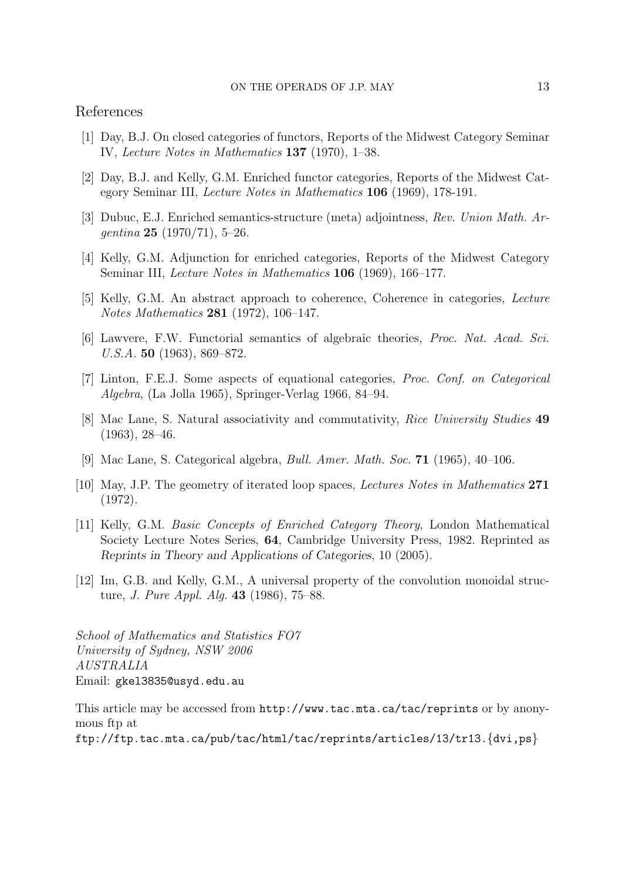## References

- [1] Day, B.J. On closed categories of functors, Reports of the Midwest Category Seminar IV, *Lecture Notes in Mathematics* **137** (1970), 1–38.
- [2] Day, B.J. and Kelly, G.M. Enriched functor categories, Reports of the Midwest Category Seminar III, *Lecture Notes in Mathematics* **106** (1969), 178-191.
- [3] Dubuc, E.J. Enriched semantics-structure (meta) adjointness, *Rev. Union Math. Argentina* **25** (1970/71), 5–26.
- [4] Kelly, G.M. Adjunction for enriched categories, Reports of the Midwest Category Seminar III, *Lecture Notes in Mathematics* **106** (1969), 166–177.
- [5] Kelly, G.M. An abstract approach to coherence, Coherence in categories, *Lecture Notes Mathematics* **281** (1972), 106–147.
- [6] Lawvere, F.W. Functorial semantics of algebraic theories, *Proc. Nat. Acad. Sci. U.S.A.* **50** (1963), 869–872.
- [7] Linton, F.E.J. Some aspects of equational categories, *Proc. Conf. on Categorical Algebra*, (La Jolla 1965), Springer-Verlag 1966, 84–94.
- [8] Mac Lane, S. Natural associativity and commutativity, *Rice University Studies* **49** (1963), 28–46.
- [9] Mac Lane, S. Categorical algebra, *Bull. Amer. Math. Soc.* **71** (1965), 40–106.
- [10] May, J.P. The geometry of iterated loop spaces, *Lectures Notes in Mathematics* **271** (1972).
- [11] Kelly, G.M. *Basic Concepts of Enriched Category Theory*, London Mathematical Society Lecture Notes Series, **64**, Cambridge University Press, 1982. Reprinted as *Reprints in Theory and Applications of Categories*, 10 (2005).
- [12] Im, G.B. and Kelly, G.M., A universal property of the convolution monoidal structure, *J. Pure Appl. Alg.* **43** (1986), 75–88.

*School of Mathematics and Statistics FO7 University of Sydney, NSW 2006 AUSTRALIA* Email: gkel3835@usyd.edu.au

This article may be accessed from http://www.tac.mta.ca/tac/reprints or by anonymous ftp at

ftp://ftp.tac.mta.ca/pub/tac/html/tac/reprints/articles/13/tr13.{dvi,ps}